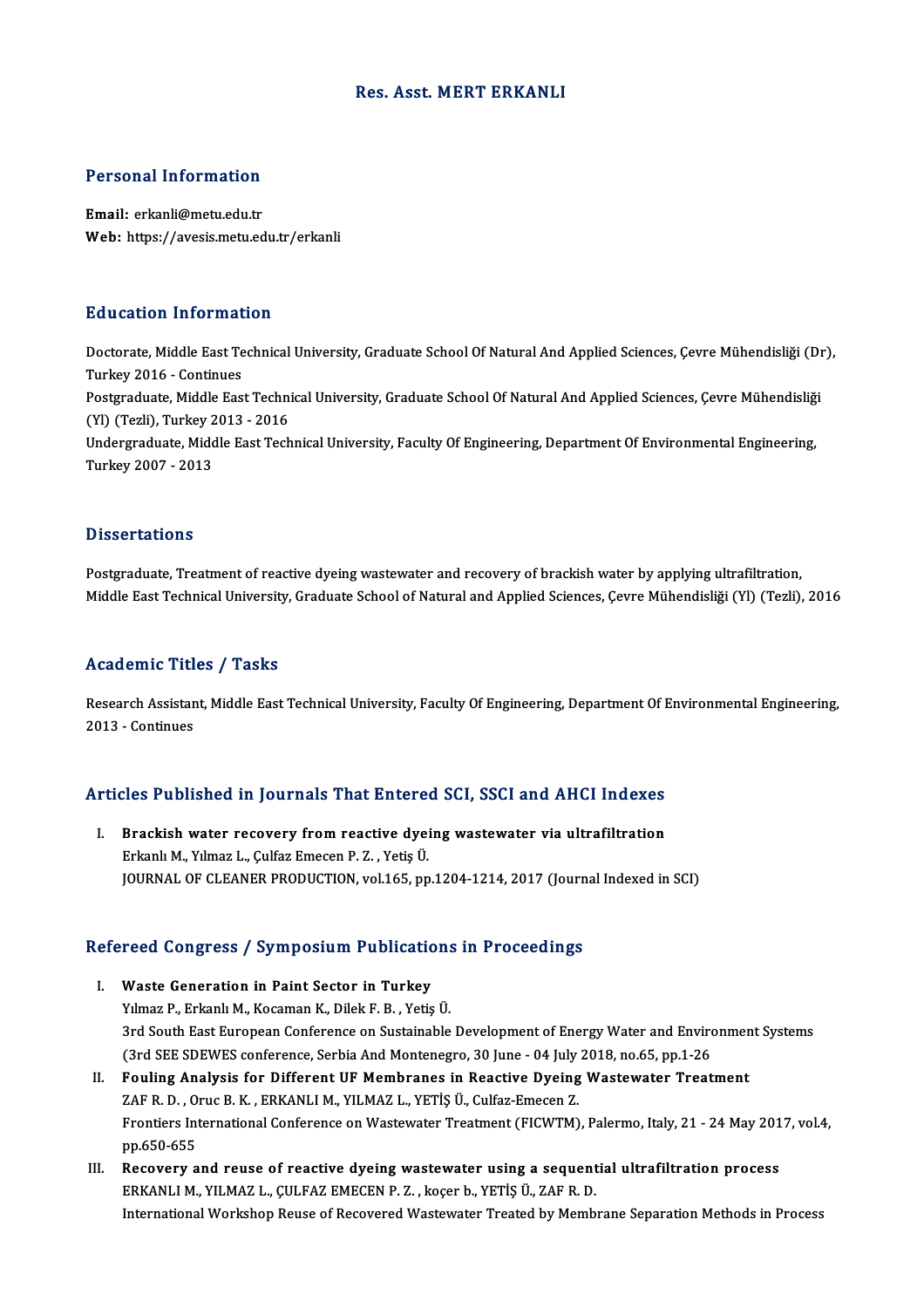### Res. Asst.MERT ERKANLI

## Personal Information

Email: erkanli@metu.edu.tr Web: https://avesis.metu.edu.tr/erkanli

### Education Information

**Education Information**<br>Doctorate, Middle East Technical University, Graduate School Of Natural And Applied Sciences, Çevre Mühendisliği (Dr),<br>Turkey 2016, Continues Turkey<br>Doctorate, Middle East Te<br>Turkey 2016 - Continues<br>Postareduate, Middle Eas Doctorate, Middle East Technical University, Graduate School Of Natural And Applied Sciences, Çevre Mühendisliği (Dr<br>Turkey 2016 - Continues<br>Postgraduate, Middle East Technical University, Graduate School Of Natural And Ap Turkey 2016 - Continues<br>Postgraduate, Middle East Techni<br>(Yl) (Tezli), Turkey 2013 - 2016<br>Undergraduate Middle Fest Tech Postgraduate, Middle East Technical University, Graduate School Of Natural And Applied Sciences, Çevre Mühendisliğ<br>(Yl) (Tezli), Turkey 2013 - 2016<br>Undergraduate, Middle East Technical University, Faculty Of Engineering, D (Yl) (Tezli), Turkey 2013 - 2016<br>Undergraduate, Middle East Technical University, Faculty Of Engineering, Department Of Environmental Engineering,<br>Turkey 2007 - 2013

#### **Dissertations**

Postgraduate, Treatment of reactive dyeing wastewater and recovery of brackish water by applying ultrafiltration, Middle East Technical University, Graduate School of Natural and Applied Sciences, Çevre Mühendisliği (Yl) (Tezli), 2016

## Academic Titles / Tasks

Academic Titles / Tasks<br>Research Assistant, Middle East Technical University, Faculty Of Engineering, Department Of Environmental Engineering,<br>2013 - Continues Example<br>2013 - Continues<br>2013 - Continues

# 2013-Conunues<br>Articles Published in Journals That Entered SCI, SSCI and AHCI Indexes

rticles Published in Journals That Entered SCI, SSCI and AHCI Indexes<br>I. Brackish water recovery from reactive dyeing wastewater via ultrafiltration Brackish water recovery from reactive dyeing wastewater via ultrafiltration Erkanlı M., Yılmaz L., Çulfaz Emecen P. Z., Yetiş Ü. JOURNAL OF CLEANER PRODUCTION, vol.165, pp.1204-1214, 2017 (Journal Indexed in SCI)

# JOOKNAL OF CLEANER PRODUCTION, VOLT05, pp.1204-1214, 2017 (Journ<br>Refereed Congress / Symposium Publications in Proceedings

- efereed Congress / Symposium Publication<br>I. Waste Generation in Paint Sector in Turkey<br>Vilmas B. Erkanlı M. Kecaman K. Dilak E. B. Vation I. Waste Generation in Paint Sector in Turkey<br>Yılmaz P., Erkanlı M., Kocaman K., Dilek F. B., Yetiş Ü. Waste Generation in Paint Sector in Turkey<br>Yılmaz P., Erkanlı M., Kocaman K., Dilek F. B. , Yetiş Ü.<br>3rd South East European Conference on Sustainable Development of Energy Water and Environment Systems<br>Card SEE SDEWES con Yılmaz P., Erkanlı M., Kocaman K., Dilek F. B. , Yetiş Ü.<br>3rd South East European Conference on Sustainable Development of Energy Water and Enviro<br>(3rd SEE SDEWES conference, Serbia And Montenegro, 30 June - 04 July 2018, 3rd South East European Conference on Sustainable Development of Energy Water and Environmen<br>
(3rd SEE SDEWES conference, Serbia And Montenegro, 30 June - 04 July 2018, no.65, pp.1-26<br>
II. Fouling Analysis for Different UF
- (3rd SEE SDEWES conference, Serbia And Montenegro, 30 June 04 July<br>Fouling Analysis for Different UF Membranes in Reactive Dyeing<br>ZAF R. D. , Oruc B. K. , ERKANLI M., YILMAZ L., YETİŞ Ü., Culfaz-Emecen Z.<br>Frantiars Inter Fouling Analysis for Different UF Membranes in Reactive Dyeing Wastewater Treatment<br>ZAF R. D. , Oruc B. K. , ERKANLI M., YILMAZ L., YETİŞ Ü., Culfaz-Emecen Z.<br>Frontiers International Conference on Wastewater Treatment (FIC ZAF R. D. , Oruc B. K. , ERKANLI M., YILMAZ L., YETİŞ Ü., Culfaz-Emecen Z.<br>Frontiers International Conference on Wastewater Treatment (FICWTM), Palermo, Italy, 21 - 24 May 2017, vol.4,<br>pp.650-655
- III. Recovery and reuse of reactive dyeing wastewater using a sequential ultrafiltration process ERKANLIM.,YILMAZ L.,ÇULFAZ EMECENP.Z. ,koçer b.,YETİŞÜ.,ZAFR.D. International Workshop Reuse of Recovered Wastewater Treated by Membrane Separation Methods in Process